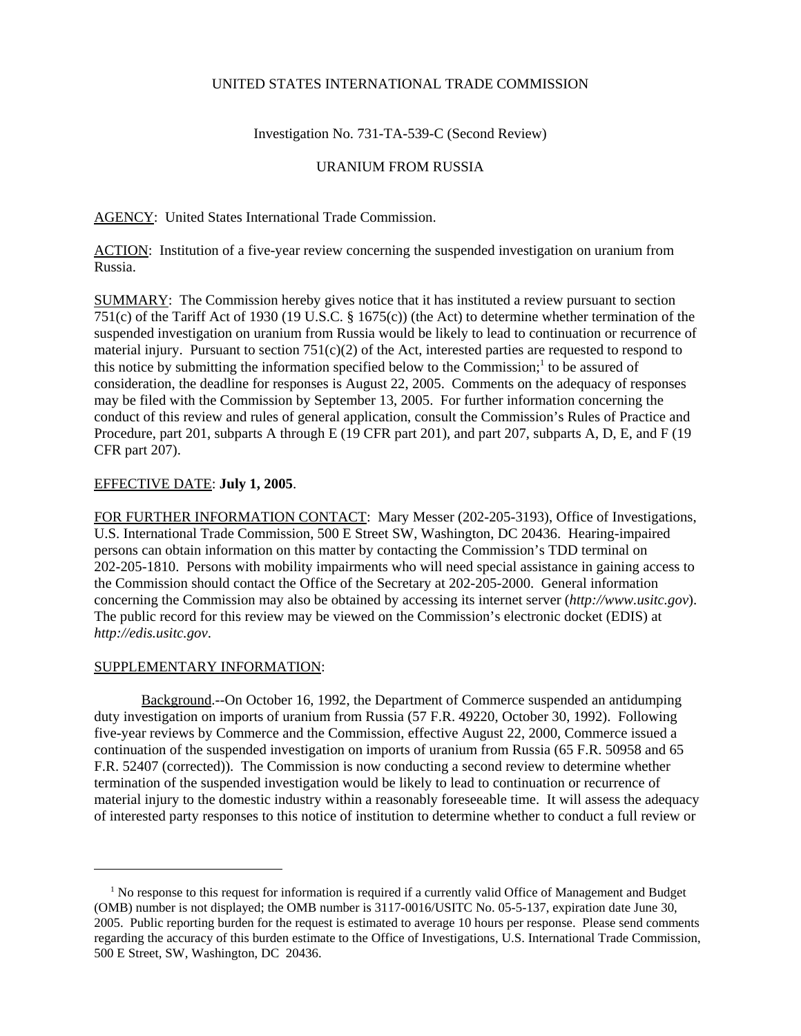## UNITED STATES INTERNATIONAL TRADE COMMISSION

Investigation No. 731-TA-539-C (Second Review)

## URANIUM FROM RUSSIA

AGENCY: United States International Trade Commission.

ACTION: Institution of a five-year review concerning the suspended investigation on uranium from Russia.

SUMMARY: The Commission hereby gives notice that it has instituted a review pursuant to section 751(c) of the Tariff Act of 1930 (19 U.S.C. § 1675(c)) (the Act) to determine whether termination of the suspended investigation on uranium from Russia would be likely to lead to continuation or recurrence of material injury. Pursuant to section 751(c)(2) of the Act, interested parties are requested to respond to this notice by submitting the information specified below to the Commission;<sup>1</sup> to be assured of consideration, the deadline for responses is August 22, 2005. Comments on the adequacy of responses may be filed with the Commission by September 13, 2005. For further information concerning the conduct of this review and rules of general application, consult the Commission's Rules of Practice and Procedure, part 201, subparts A through E (19 CFR part 201), and part 207, subparts A, D, E, and F (19 CFR part 207).

## EFFECTIVE DATE: **July 1, 2005**.

FOR FURTHER INFORMATION CONTACT: Mary Messer (202-205-3193), Office of Investigations, U.S. International Trade Commission, 500 E Street SW, Washington, DC 20436. Hearing-impaired persons can obtain information on this matter by contacting the Commission's TDD terminal on 202-205-1810. Persons with mobility impairments who will need special assistance in gaining access to the Commission should contact the Office of the Secretary at 202-205-2000. General information concerning the Commission may also be obtained by accessing its internet server (*http://www.usitc.gov*). The public record for this review may be viewed on the Commission's electronic docket (EDIS) at *http://edis.usitc.gov*.

## SUPPLEMENTARY INFORMATION:

Background.--On October 16, 1992, the Department of Commerce suspended an antidumping duty investigation on imports of uranium from Russia (57 F.R. 49220, October 30, 1992). Following five-year reviews by Commerce and the Commission, effective August 22, 2000, Commerce issued a continuation of the suspended investigation on imports of uranium from Russia (65 F.R. 50958 and 65 F.R. 52407 (corrected)). The Commission is now conducting a second review to determine whether termination of the suspended investigation would be likely to lead to continuation or recurrence of material injury to the domestic industry within a reasonably foreseeable time. It will assess the adequacy of interested party responses to this notice of institution to determine whether to conduct a full review or

<sup>&</sup>lt;sup>1</sup> No response to this request for information is required if a currently valid Office of Management and Budget (OMB) number is not displayed; the OMB number is 3117-0016/USITC No. 05-5-137, expiration date June 30, 2005. Public reporting burden for the request is estimated to average 10 hours per response. Please send comments regarding the accuracy of this burden estimate to the Office of Investigations, U.S. International Trade Commission, 500 E Street, SW, Washington, DC 20436.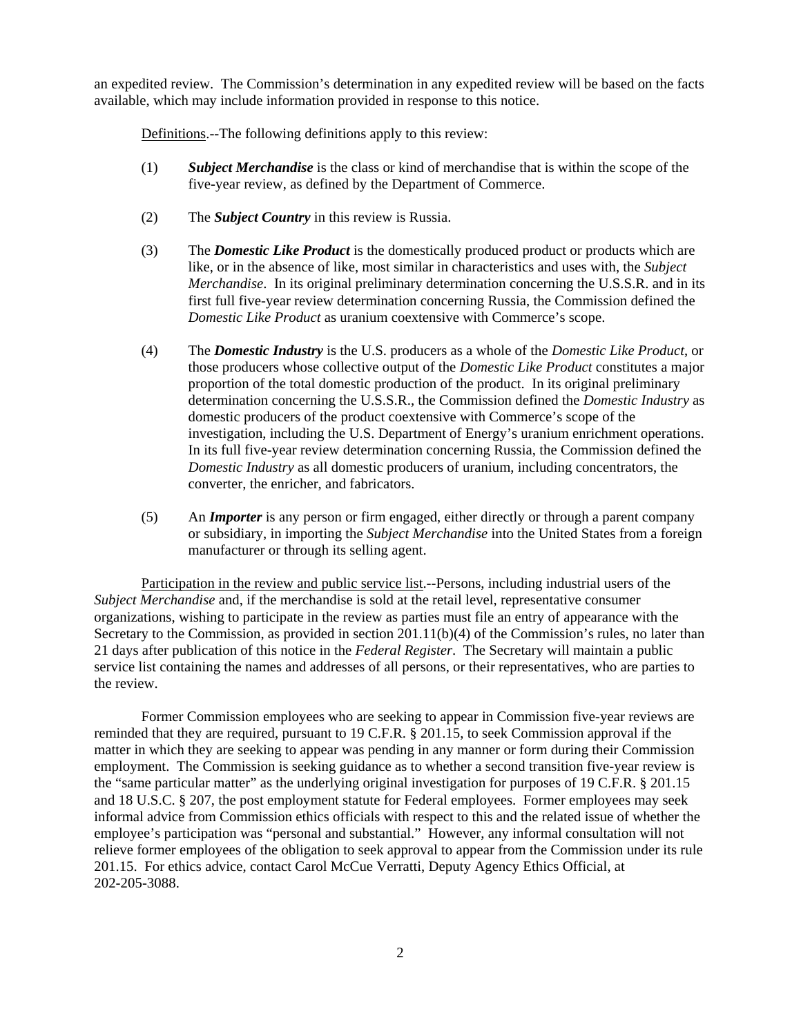an expedited review. The Commission's determination in any expedited review will be based on the facts available, which may include information provided in response to this notice.

Definitions.--The following definitions apply to this review:

- (1) *Subject Merchandise* is the class or kind of merchandise that is within the scope of the five-year review, as defined by the Department of Commerce.
- (2) The *Subject Country* in this review is Russia.
- (3) The *Domestic Like Product* is the domestically produced product or products which are like, or in the absence of like, most similar in characteristics and uses with, the *Subject Merchandise*. In its original preliminary determination concerning the U.S.S.R. and in its first full five-year review determination concerning Russia, the Commission defined the *Domestic Like Product* as uranium coextensive with Commerce's scope.
- (4) The *Domestic Industry* is the U.S. producers as a whole of the *Domestic Like Product*, or those producers whose collective output of the *Domestic Like Product* constitutes a major proportion of the total domestic production of the product. In its original preliminary determination concerning the U.S.S.R., the Commission defined the *Domestic Industry* as domestic producers of the product coextensive with Commerce's scope of the investigation, including the U.S. Department of Energy's uranium enrichment operations. In its full five-year review determination concerning Russia, the Commission defined the *Domestic Industry* as all domestic producers of uranium, including concentrators, the converter, the enricher, and fabricators.
- (5) An *Importer* is any person or firm engaged, either directly or through a parent company or subsidiary, in importing the *Subject Merchandise* into the United States from a foreign manufacturer or through its selling agent.

Participation in the review and public service list.--Persons, including industrial users of the *Subject Merchandise* and, if the merchandise is sold at the retail level, representative consumer organizations, wishing to participate in the review as parties must file an entry of appearance with the Secretary to the Commission, as provided in section 201.11(b)(4) of the Commission's rules, no later than 21 days after publication of this notice in the *Federal Register*. The Secretary will maintain a public service list containing the names and addresses of all persons, or their representatives, who are parties to the review.

Former Commission employees who are seeking to appear in Commission five-year reviews are reminded that they are required, pursuant to 19 C.F.R. § 201.15, to seek Commission approval if the matter in which they are seeking to appear was pending in any manner or form during their Commission employment. The Commission is seeking guidance as to whether a second transition five-year review is the "same particular matter" as the underlying original investigation for purposes of 19 C.F.R. § 201.15 and 18 U.S.C. § 207, the post employment statute for Federal employees. Former employees may seek informal advice from Commission ethics officials with respect to this and the related issue of whether the employee's participation was "personal and substantial." However, any informal consultation will not relieve former employees of the obligation to seek approval to appear from the Commission under its rule 201.15. For ethics advice, contact Carol McCue Verratti, Deputy Agency Ethics Official, at 202-205-3088.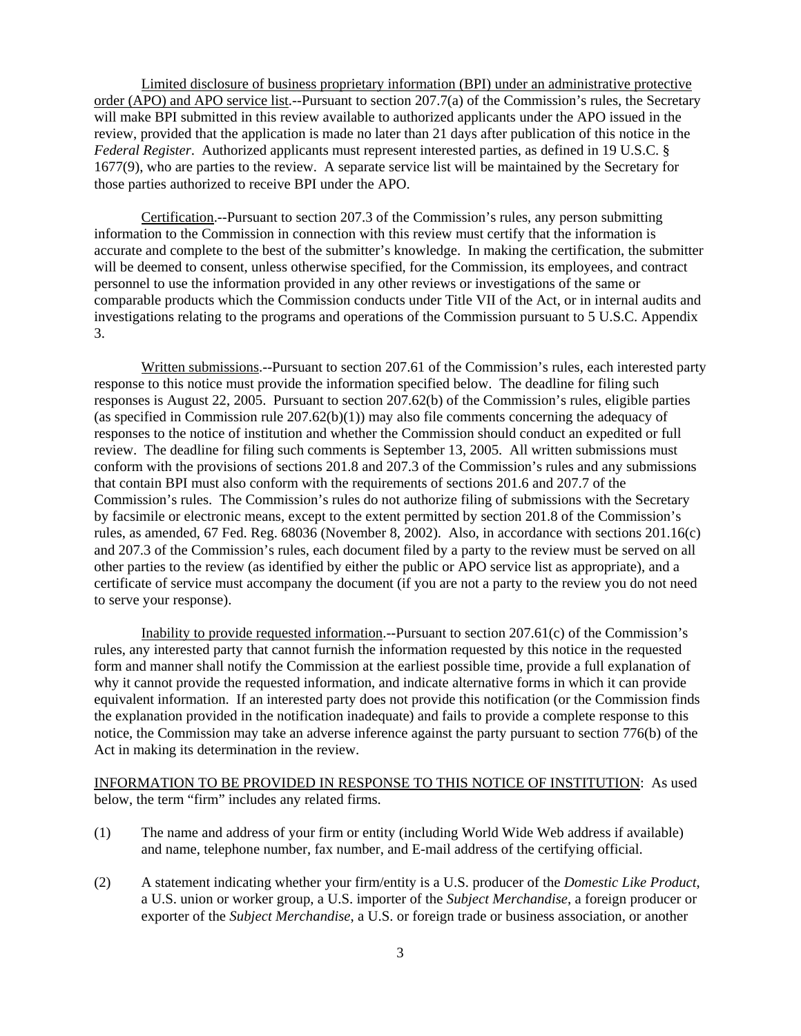Limited disclosure of business proprietary information (BPI) under an administrative protective order (APO) and APO service list.--Pursuant to section 207.7(a) of the Commission's rules, the Secretary will make BPI submitted in this review available to authorized applicants under the APO issued in the review, provided that the application is made no later than 21 days after publication of this notice in the *Federal Register*. Authorized applicants must represent interested parties, as defined in 19 U.S.C. § 1677(9), who are parties to the review. A separate service list will be maintained by the Secretary for those parties authorized to receive BPI under the APO.

Certification.--Pursuant to section 207.3 of the Commission's rules, any person submitting information to the Commission in connection with this review must certify that the information is accurate and complete to the best of the submitter's knowledge. In making the certification, the submitter will be deemed to consent, unless otherwise specified, for the Commission, its employees, and contract personnel to use the information provided in any other reviews or investigations of the same or comparable products which the Commission conducts under Title VII of the Act, or in internal audits and investigations relating to the programs and operations of the Commission pursuant to 5 U.S.C. Appendix 3.

Written submissions.--Pursuant to section 207.61 of the Commission's rules, each interested party response to this notice must provide the information specified below. The deadline for filing such responses is August 22, 2005. Pursuant to section 207.62(b) of the Commission's rules, eligible parties (as specified in Commission rule  $207.62(b)(1)$ ) may also file comments concerning the adequacy of responses to the notice of institution and whether the Commission should conduct an expedited or full review. The deadline for filing such comments is September 13, 2005. All written submissions must conform with the provisions of sections 201.8 and 207.3 of the Commission's rules and any submissions that contain BPI must also conform with the requirements of sections 201.6 and 207.7 of the Commission's rules. The Commission's rules do not authorize filing of submissions with the Secretary by facsimile or electronic means, except to the extent permitted by section 201.8 of the Commission's rules, as amended, 67 Fed. Reg. 68036 (November 8, 2002). Also, in accordance with sections 201.16(c) and 207.3 of the Commission's rules, each document filed by a party to the review must be served on all other parties to the review (as identified by either the public or APO service list as appropriate), and a certificate of service must accompany the document (if you are not a party to the review you do not need to serve your response).

Inability to provide requested information.--Pursuant to section 207.61(c) of the Commission's rules, any interested party that cannot furnish the information requested by this notice in the requested form and manner shall notify the Commission at the earliest possible time, provide a full explanation of why it cannot provide the requested information, and indicate alternative forms in which it can provide equivalent information. If an interested party does not provide this notification (or the Commission finds the explanation provided in the notification inadequate) and fails to provide a complete response to this notice, the Commission may take an adverse inference against the party pursuant to section 776(b) of the Act in making its determination in the review.

INFORMATION TO BE PROVIDED IN RESPONSE TO THIS NOTICE OF INSTITUTION: As used below, the term "firm" includes any related firms.

- (1) The name and address of your firm or entity (including World Wide Web address if available) and name, telephone number, fax number, and E-mail address of the certifying official.
- (2) A statement indicating whether your firm/entity is a U.S. producer of the *Domestic Like Product*, a U.S. union or worker group, a U.S. importer of the *Subject Merchandise*, a foreign producer or exporter of the *Subject Merchandise*, a U.S. or foreign trade or business association, or another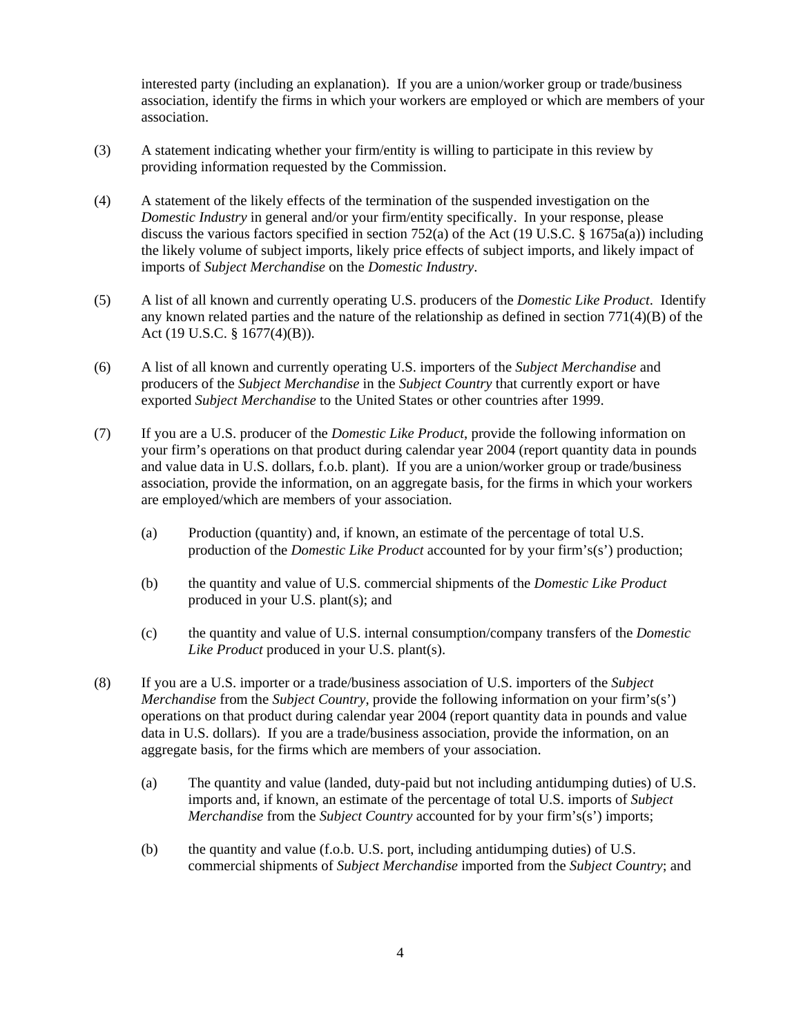interested party (including an explanation). If you are a union/worker group or trade/business association, identify the firms in which your workers are employed or which are members of your association.

- (3) A statement indicating whether your firm/entity is willing to participate in this review by providing information requested by the Commission.
- (4) A statement of the likely effects of the termination of the suspended investigation on the *Domestic Industry* in general and/or your firm/entity specifically. In your response, please discuss the various factors specified in section 752(a) of the Act (19 U.S.C. § 1675a(a)) including the likely volume of subject imports, likely price effects of subject imports, and likely impact of imports of *Subject Merchandise* on the *Domestic Industry*.
- (5) A list of all known and currently operating U.S. producers of the *Domestic Like Product*. Identify any known related parties and the nature of the relationship as defined in section  $771(4)(B)$  of the Act (19 U.S.C. § 1677(4)(B)).
- (6) A list of all known and currently operating U.S. importers of the *Subject Merchandise* and producers of the *Subject Merchandise* in the *Subject Country* that currently export or have exported *Subject Merchandise* to the United States or other countries after 1999.
- (7) If you are a U.S. producer of the *Domestic Like Product*, provide the following information on your firm's operations on that product during calendar year 2004 (report quantity data in pounds and value data in U.S. dollars, f.o.b. plant). If you are a union/worker group or trade/business association, provide the information, on an aggregate basis, for the firms in which your workers are employed/which are members of your association.
	- (a) Production (quantity) and, if known, an estimate of the percentage of total U.S. production of the *Domestic Like Product* accounted for by your firm's(s') production;
	- (b) the quantity and value of U.S. commercial shipments of the *Domestic Like Product* produced in your U.S. plant(s); and
	- (c) the quantity and value of U.S. internal consumption/company transfers of the *Domestic Like Product* produced in your U.S. plant(s).
- (8) If you are a U.S. importer or a trade/business association of U.S. importers of the *Subject Merchandise* from the *Subject Country*, provide the following information on your firm's(s') operations on that product during calendar year 2004 (report quantity data in pounds and value data in U.S. dollars). If you are a trade/business association, provide the information, on an aggregate basis, for the firms which are members of your association.
	- (a) The quantity and value (landed, duty-paid but not including antidumping duties) of U.S. imports and, if known, an estimate of the percentage of total U.S. imports of *Subject Merchandise* from the *Subject Country* accounted for by your firm's(s') imports;
	- (b) the quantity and value (f.o.b. U.S. port, including antidumping duties) of U.S. commercial shipments of *Subject Merchandise* imported from the *Subject Country*; and